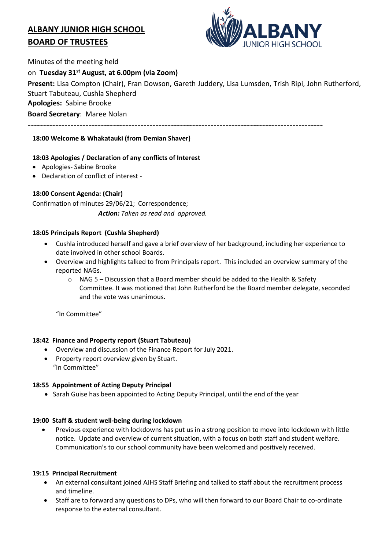# **ALBANY JUNIOR HIGH SCHOOL BOARD OF TRUSTEES**



Minutes of the meeting held

## on **Tuesday 31st August, at 6.00pm (via Zoom)**

**Present:** Lisa Compton (Chair), Fran Dowson, Gareth Juddery, Lisa Lumsden, Trish Ripi, John Rutherford, Stuart Tabuteau, Cushla Shepherd

**Apologies:** Sabine Brooke

**Board Secretary**: Maree Nolan

-------------------------------------------------------------------------------------------------

## **18:00 Welcome & Whakatauki (from Demian Shaver)**

## **18:03 Apologies / Declaration of any conflicts of Interest**

- Apologies- Sabine Brooke
- Declaration of conflict of interest -

# **18:00 Consent Agenda: (Chair)**

Confirmation of minutes 29/06/21; Correspondence; *Action: Taken as read and approved.*

## **18:05 Principals Report (Cushla Shepherd)**

- Cushla introduced herself and gave a brief overview of her background, including her experience to date involved in other school Boards.
- Overview and highlights talked to from Principals report. This included an overview summary of the reported NAGs.
	- $\circ$  NAG 5 Discussion that a Board member should be added to the Health & Safety Committee. It was motioned that John Rutherford be the Board member delegate, seconded and the vote was unanimous.

"In Committee"

## **18:42 Finance and Property report (Stuart Tabuteau)**

- Overview and discussion of the Finance Report for July 2021.
- Property report overview given by Stuart. "In Committee"

## **18:55 Appointment of Acting Deputy Principal**

• Sarah Guise has been appointed to Acting Deputy Principal, until the end of the year

## **19:00 Staff & student well-being during lockdown**

 Previous experience with lockdowns has put us in a strong position to move into lockdown with little notice. Update and overview of current situation, with a focus on both staff and student welfare. Communication's to our school community have been welcomed and positively received.

## **19:15 Principal Recruitment**

- An external consultant joined AJHS Staff Briefing and talked to staff about the recruitment process and timeline.
- Staff are to forward any questions to DPs, who will then forward to our Board Chair to co-ordinate response to the external consultant.